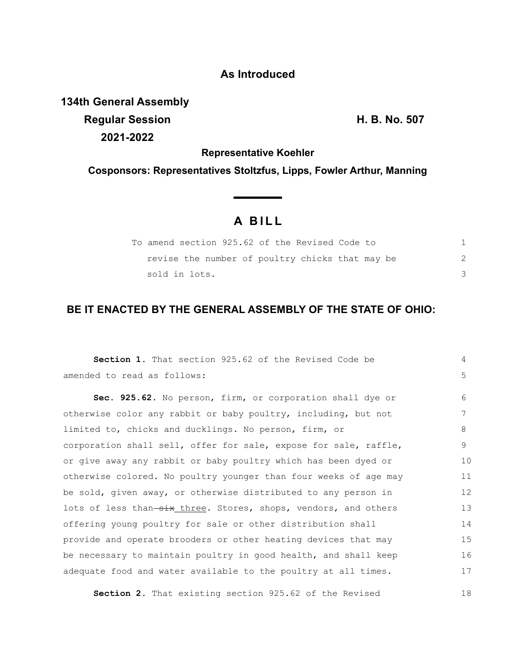## **As Introduced**

**134th General Assembly**

**Regular Session H. B. No. 507 2021-2022**

18

**Representative Koehler**

**Cosponsors: Representatives Stoltzfus, Lipps, Fowler Arthur, Manning**

## **A B I L L**

|  |               |  |  | To amend section 925.62 of the Revised Code to  |  |  |  |
|--|---------------|--|--|-------------------------------------------------|--|--|--|
|  |               |  |  | revise the number of poultry chicks that may be |  |  |  |
|  | sold in lots. |  |  |                                                 |  |  |  |

## **BE IT ENACTED BY THE GENERAL ASSEMBLY OF THE STATE OF OHIO:**

| <b>Section 1.</b> That section 925.62 of the Revised Code be     | 4  |
|------------------------------------------------------------------|----|
| amended to read as follows:                                      | 5  |
| Sec. 925.62. No person, firm, or corporation shall dye or        | 6  |
| otherwise color any rabbit or baby poultry, including, but not   | 7  |
| limited to, chicks and ducklings. No person, firm, or            | 8  |
| corporation shall sell, offer for sale, expose for sale, raffle, | 9  |
| or give away any rabbit or baby poultry which has been dyed or   | 10 |
| otherwise colored. No poultry younger than four weeks of age may | 11 |
| be sold, given away, or otherwise distributed to any person in   | 12 |
| lots of less than-six_three. Stores, shops, vendors, and others  | 13 |
| offering young poultry for sale or other distribution shall      | 14 |
| provide and operate brooders or other heating devices that may   | 15 |
| be necessary to maintain poultry in good health, and shall keep  | 16 |
| adequate food and water available to the poultry at all times.   | 17 |

**Section 2.** That existing section 925.62 of the Revised